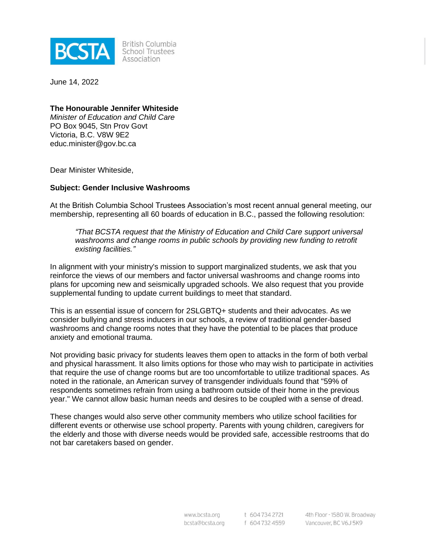

**British Columbia** School Trustees Association

June 14, 2022

#### **The Honourable Jennifer Whiteside**

*Minister of Education and Child Care* PO Box 9045, Stn Prov Govt Victoria, B.C. V8W 9E2 educ.minister@gov.bc.ca

Dear Minister Whiteside,

#### **Subject: Gender Inclusive Washrooms**

At the British Columbia School Trustees Association's most recent annual general meeting, our membership, representing all 60 boards of education in B.C., passed the following resolution:

*"That BCSTA request that the Ministry of Education and Child Care support universal washrooms and change rooms in public schools by providing new funding to retrofit existing facilities."*

In alignment with your ministry's mission to support marginalized students, we ask that you reinforce the views of our members and factor universal washrooms and change rooms into plans for upcoming new and seismically upgraded schools. We also request that you provide supplemental funding to update current buildings to meet that standard.

This is an essential issue of concern for 2SLGBTQ+ students and their advocates. As we consider bullying and stress inducers in our schools, a review of traditional gender-based washrooms and change rooms notes that they have the potential to be places that produce anxiety and emotional trauma.

Not providing basic privacy for students leaves them open to attacks in the form of both verbal and physical harassment. It also limits options for those who may wish to participate in activities that require the use of change rooms but are too uncomfortable to utilize traditional spaces. As noted in the rationale, an American survey of transgender individuals found that "59% of respondents sometimes refrain from using a bathroom outside of their home in the previous year." We cannot allow basic human needs and desires to be coupled with a sense of dread.

These changes would also serve other community members who utilize school facilities for different events or otherwise use school property. Parents with young children, caregivers for the elderly and those with diverse needs would be provided safe, accessible restrooms that do not bar caretakers based on gender.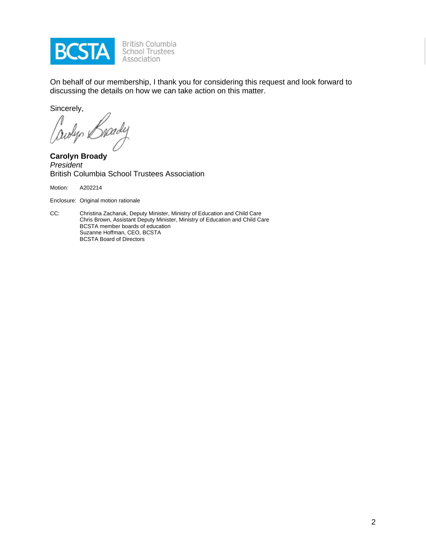

On behalf of our membership, I thank you for considering this request and look forward to discussing the details on how we can take action on this matter.

Sincerely,

Cowlyn &

**Carolyn Broady** *President* British Columbia School Trustees Association

Motion: A202214

Enclosure: Original motion rationale

CC: Christina Zacharuk, Deputy Minister, Ministry of Education and Child Care Chris Brown, Assistant Deputy Minister, Ministry of Education and Child Care BCSTA member boards of education Suzanne Hoffman, CEO, BCSTA BCSTA Board of Directors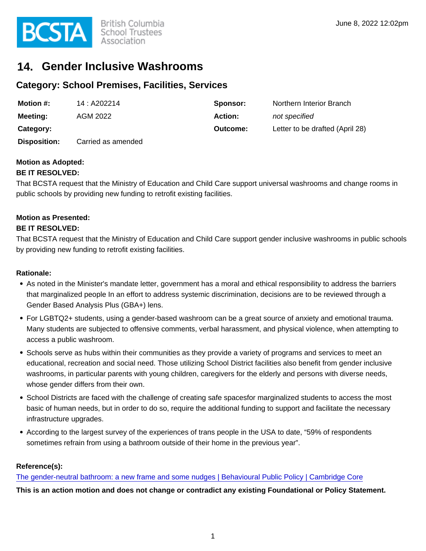

# **14. Gender Inclusive Washrooms**

## **Category: School Premises, Facilities, Services**

| Motion #:           | 14: A202214        | Sponsor:       | Northern Interior Branch        |
|---------------------|--------------------|----------------|---------------------------------|
| Meeting:            | AGM 2022           | <b>Action:</b> | not specified                   |
| Category:           |                    | Outcome:       | Letter to be drafted (April 28) |
| <b>Disposition:</b> | Carried as amended |                |                                 |

## **Motion as Adopted:**

#### **BE IT RESOLVED:**

That BCSTA request that the Ministry of Education and Child Care support universal washrooms and change rooms in public schools by providing new funding to retrofit existing facilities.

### **Motion as Presented:**

#### **BE IT RESOLVED:**

That BCSTA request that the Ministry of Education and Child Care support gender inclusive washrooms in public schools by providing new funding to retrofit existing facilities.

#### **Rationale:**

- As noted in the Minister's mandate letter, government has a moral and ethical responsibility to address the barriers that marginalized people In an effort to address systemic discrimination, decisions are to be reviewed through a Gender Based Analysis Plus (GBA+) lens.
- For LGBTQ2+ students, using a gender-based washroom can be a great source of anxiety and emotional trauma. Many students are subjected to offensive comments, verbal harassment, and physical violence, when attempting to access a public washroom.
- Schools serve as hubs within their communities as they provide a variety of programs and services to meet an educational, recreation and social need. Those utilizing School District facilities also benefit from gender inclusive washrooms, in particular parents with young children, caregivers for the elderly and persons with diverse needs, whose gender differs from their own.
- School Districts are faced with the challenge of creating safe spacesfor marginalized students to access the most basic of human needs, but in order to do so, require the additional funding to support and facilitate the necessary infrastructure upgrades.
- According to the largest survey of the experiences of trans people in the USA to date, "59% of respondents sometimes refrain from using a bathroom outside of their home in the previous year".

#### **Reference(s):**

[The gender-neutral bathroom: a new frame and some nudges | Behavioural Public Policy | Cambridge Core](https://www.cambridge.org/core/journals/behavioural-public-policy/article/genderneutral-bathroom-a-new-frame-and-some-nudges/C6CDCA42BAEBCE684B243EB9773A771C)

**This is an action motion and does not change or contradict any existing Foundational or Policy Statement.**